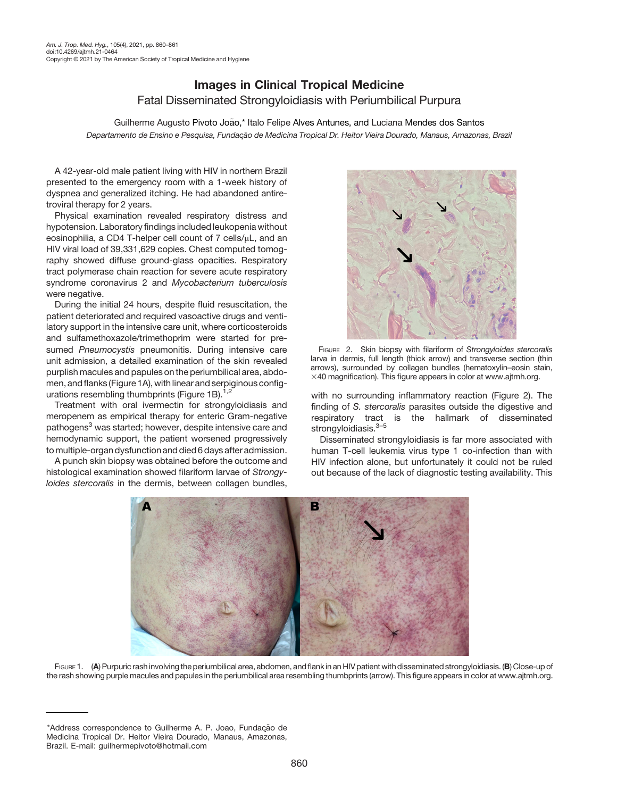## Images in Clinical Tropical Medicine Fatal Disseminated Strongyloidiasis with Periumbilical Purpura

Guilherme Augusto Pivoto João,\* Italo Felipe Alves Antunes, and Luciana Mendes dos Santos Departamento de Ensino e Pesquisa, Fundação de Medicina Tropical Dr. Heitor Vieira Dourado, Manaus, Amazonas, Brazil

A 42-year-old male patient living with HIV in northern Brazil presented to the emergency room with a 1-week history of dyspnea and generalized itching. He had abandoned antiretroviral therapy for 2 years.

Physical examination revealed respiratory distress and hypotension. Laboratory findings included leukopenia without eosinophilia, a CD4 T-helper cell count of  $7$  cells/ $\mu$ L, and an HIV viral load of 39,331,629 copies. Chest computed tomography showed diffuse ground-glass opacities. Respiratory tract polymerase chain reaction for severe acute respiratory syndrome coronavirus 2 and Mycobacterium tuberculosis were negative.

During the initial 24 hours, despite fluid resuscitation, the patient deteriorated and required vasoactive drugs and ventilatory support in the intensive care unit, where corticosteroids and sulfamethoxazole/trimethoprim were started for presumed Pneumocystis pneumonitis. During intensive care unit admission, a detailed examination of the skin revealed purplish macules and papules on the periumbilical area, abdomen, and flanks (Figure 1A), with linear and serpiginous configurations resembling thumbprints (Figure 1B). $1,2$ 

Treatment with oral ivermectin for strongyloidiasis and meropenem as empirical therapy for enteric Gram-negative pathogens<sup>3</sup> was started; however, despite intensive care and hemodynamic support, the patient worsened progressively tomultiple-organ dysfunction and died 6 days after admission.

A punch skin biopsy was obtained before the outcome and histological examination showed filariform larvae of Strongyloides stercoralis in the dermis, between collagen bundles,



FIGURE 2. Skin biopsy with filariform of Strongyloides stercoralis larva in dermis, full length (thick arrow) and transverse section (thin arrows), surrounded by collagen bundles (hematoxylin–eosin stain,  $\times$ 40 magnification). This figure appears in color at [www.ajtmh.org](http://www.ajtmh.org).

with no surrounding inflammatory reaction (Figure 2). The finding of S. stercoralis parasites outside the digestive and respiratory tract is the hallmark of disseminated strongyloidiasis.<sup>3-[5](#page-1-0)</sup>

Disseminated strongyloidiasis is far more associated with human T-cell leukemia virus type 1 co-infection than with HIV infection alone, but unfortunately it could not be ruled out because of the lack of diagnostic testing availability. This



FIGURE 1. (A) Purpuric rash involving the periumbilical area, abdomen, and flank in an HIV patient with disseminated strongyloidiasis. (B) Close-up of the rash showing purple macules and papules in the periumbilical area resembling thumbprints (arrow). This figure appears in color at [www.ajtmh.org.](http://www.ajtmh.org)

<sup>\*</sup>Address correspondence to Guilherme A. P. Joao, Fundação de Medicina Tropical Dr. Heitor Vieira Dourado, Manaus, Amazonas, Brazil. E-mail: [guilhermepivoto@hotmail.com](mailto:guilhermepivoto@hotmail.com)